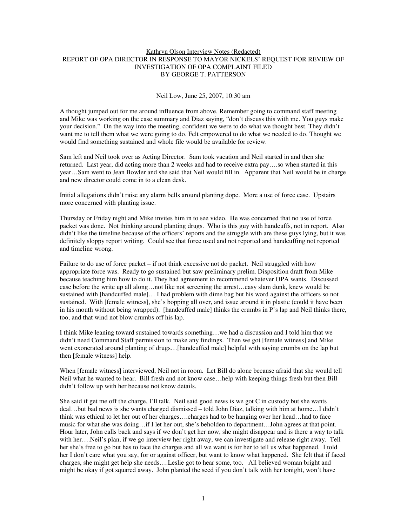# Kathryn Olson Interview Notes (Redacted) REPORT OF OPA DIRECTOR IN RESPONSE TO MAYOR NICKELS' REQUEST FOR REVIEW OF INVESTIGATION OF OPA COMPLAINT FILED BY GEORGE T. PATTERSON

#### Neil Low, June 25, 2007, 10:30 am

A thought jumped out for me around influence from above. Remember going to command staff meeting and Mike was working on the case summary and Diaz saying, "don't discuss this with me. You guys make your decision." On the way into the meeting, confident we were to do what we thought best. They didn't want me to tell them what we were going to do. Felt empowered to do what we needed to do. Thought we would find something sustained and whole file would be available for review.

Sam left and Neil took over as Acting Director. Sam took vacation and Neil started in and then she returned. Last year, did acting more than 2 weeks and had to receive extra pay….so when started in this year…Sam went to Jean Bowler and she said that Neil would fill in. Apparent that Neil would be in charge and new director could come in to a clean desk.

Initial allegations didn't raise any alarm bells around planting dope. More a use of force case. Upstairs more concerned with planting issue.

Thursday or Friday night and Mike invites him in to see video. He was concerned that no use of force packet was done. Not thinking around planting drugs. Who is this guy with handcuffs, not in report. Also didn't like the timeline because of the officers' reports and the struggle with are these guys lying, but it was definitely sloppy report writing. Could see that force used and not reported and handcuffing not reported and timeline wrong.

Failure to do use of force packet – if not think excessive not do packet. Neil struggled with how appropriate force was. Ready to go sustained but saw preliminary prelim. Disposition draft from Mike because teaching him how to do it. They had agreement to recommend whatever OPA wants. Discussed case before the write up all along…not like not screening the arrest…easy slam dunk, knew would be sustained with [handcuffed male]… I had problem with dime bag but his word against the officers so not sustained. With [female witness], she's bopping all over, and issue around it in plastic (could it have been in his mouth without being wrapped). [handcuffed male] thinks the crumbs in P's lap and Neil thinks there, too, and that wind not blow crumbs off his lap.

I think Mike leaning toward sustained towards something…we had a discussion and I told him that we didn't need Command Staff permission to make any findings. Then we got [female witness] and Mike went exonerated around planting of drugs…[handcuffed male] helpful with saying crumbs on the lap but then [female witness] help.

When [female witness] interviewed, Neil not in room. Let Bill do alone because afraid that she would tell Neil what he wanted to hear. Bill fresh and not know case…help with keeping things fresh but then Bill didn't follow up with her because not know details.

She said if get me off the charge, I'll talk. Neil said good news is we got C in custody but she wants deal…but bad news is she wants charged dismissed – told John Diaz, talking with him at home…I didn't think was ethical to let her out of her charges….charges had to be hanging over her head…had to face music for what she was doing…if I let her out, she's beholden to department…John agrees at that point. Hour later, John calls back and says if we don't get her now, she might disappear and is there a way to talk with her….Neil's plan, if we go interview her right away, we can investigate and release right away. Tell her she's free to go but has to face the charges and all we want is for her to tell us what happened. I told her I don't care what you say, for or against officer, but want to know what happened. She felt that if faced charges, she might get help she needs….Leslie got to hear some, too. All believed woman bright and might be okay if got squared away. John planted the seed if you don't talk with her tonight, won't have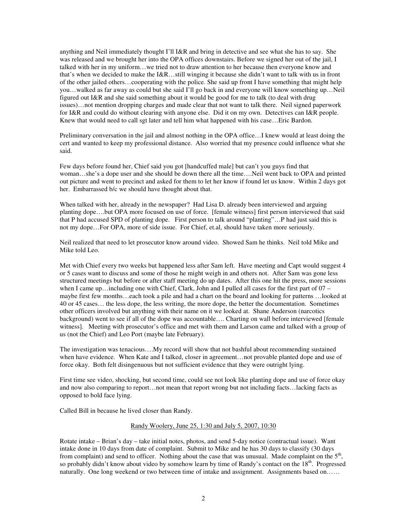anything and Neil immediately thought I'll I&R and bring in detective and see what she has to say. She was released and we brought her into the OPA offices downstairs. Before we signed her out of the jail, I talked with her in my uniform…we tried not to draw attention to her because then everyone know and that's when we decided to make the I&R…still winging it because she didn't want to talk with us in front of the other jailed others…cooperating with the police. She said up front I have something that might help you…walked as far away as could but she said I'll go back in and everyone will know something up…Neil figured out I&R and she said something about it would be good for me to talk (to deal with drug issues)…not mention dropping charges and made clear that not want to talk there. Neil signed paperwork for I&R and could do without clearing with anyone else. Did it on my own. Detectives can I&R people. Knew that would need to call sgt later and tell him what happened with his case…Eric Bardon.

Preliminary conversation in the jail and almost nothing in the OPA office…I knew would at least doing the cert and wanted to keep my professional distance. Also worried that my presence could influence what she said.

Few days before found her, Chief said you got [handcuffed male] but can't you guys find that woman…she's a dope user and she should be down there all the time….Neil went back to OPA and printed out picture and went to precinct and asked for them to let her know if found let us know. Within 2 days got her. Embarrassed b/c we should have thought about that.

When talked with her, already in the newspaper? Had Lisa D. already been interviewed and arguing planting dope….but OPA more focused on use of force. [female witness] first person interviewed that said that P had accused SPD of planting dope. First person to talk around "planting"…P had just said this is not my dope…For OPA, more of side issue. For Chief, et.al, should have taken more seriously.

Neil realized that need to let prosecutor know around video. Showed Sam he thinks. Neil told Mike and Mike told Leo.

Met with Chief every two weeks but happened less after Sam left. Have meeting and Capt would suggest 4 or 5 cases want to discuss and some of those he might weigh in and others not. After Sam was gone less structured meetings but before or after staff meeting do up dates. After this one hit the press, more sessions when I came up... including one with Chief, Clark, John and I pulled all cases for the first part of  $07$ maybe first few months…each took a pile and had a chart on the board and looking for patterns …looked at 40 or 45 cases… the less dope, the less writing, the more dope, the better the documentation. Sometimes other officers involved but anything with their name on it we looked at. Shane Anderson (narcotics background) went to see if all of the dope was accountable…. Charting on wall before interviewed [female witness]. Meeting with prosecutor's office and met with them and Larson came and talked with a group of us (not the Chief) and Leo Port (maybe late February).

The investigation was tenacious….My record will show that not bashful about recommending sustained when have evidence. When Kate and I talked, closer in agreement...not provable planted dope and use of force okay. Both felt disingenuous but not sufficient evidence that they were outright lying.

First time see video, shocking, but second time, could see not look like planting dope and use of force okay and now also comparing to report…not mean that report wrong but not including facts…lacking facts as opposed to bold face lying.

Called Bill in because he lived closer than Randy.

# Randy Woolery, June 25, 1:30 and July 5, 2007, 10:30

Rotate intake – Brian's day – take initial notes, photos, and send 5-day notice (contractual issue). Want intake done in 10 days from date of complaint. Submit to Mike and he has 30 days to classify (30 days from complaint) and send to officer. Nothing about the case that was unusual. Made complaint on the  $5<sup>th</sup>$ , so probably didn't know about video by somehow learn by time of Randy's contact on the 18<sup>th</sup>. Progressed naturally. One long weekend or two between time of intake and assignment. Assignments based on……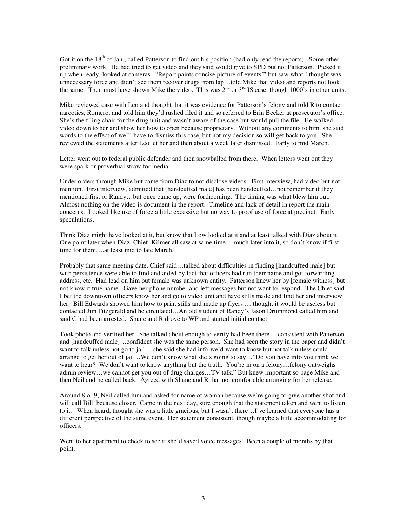Got it on the 18<sup>th</sup> of Jan., called Patterson to find out his position (had only read the reports). Some other preliminary work. He had tried to get video and they said would give to SPD but not Patterson. Picked it up when ready, looked at cameras. "Report paints concise picture of events'" but saw what I thought was unnecessary force and didn't see them recover drugs from lap…told Mike that video and reports not look the same. Then must have shown Mike the video. This was  $2^{nd}$  or  $3^{rd}$  IS case, though 1000's in other units.

Mike reviewed case with Leo and thought that it was evidence for Patterson's felony and told R to contact narcotics, Romero, and told him they'd rushed filed it and so referred to Erin Becker at prosecutor's office. She's the filing chair for the drug unit and wasn't aware of the case but would pull the file. He walked video down to her and show her how to open because proprietary. Without any comments to him, she said words to the effect of we'll have to dismiss this case, but not my decision so will get back to you. She reviewed the statements after Leo let her and then about a week later dismissed. Early to mid March.

Letter went out to federal public defender and then snowballed from there. When letters went out they were spark or proverbial straw for media.

Under orders through Mike but came from Diaz to not disclose videos. First interview, had video but not mention. First interview, admitted that [handcuffed male] has been handcuffed…not remember if they mentioned first or Randy…but once came up, were forthcoming. The timing was what blew him out. Almost nothing on the video is document in the report. Timeline and lack of detail in report the main concerns. Looked like use of force a little excessive but no way to proof use of force at precinct. Early speculations.

Think Diaz might have looked at it, but know that Low looked at it and at least talked with Diaz about it. One point later when Diaz, Chief, Kilmer all saw at same time….much later into it, so don't know if first time for them….at least mid to late March.

Probably that same meeting date, Chief said…talked about difficulties in finding [handcuffed male] but with persistence were able to find and aided by fact that officers had run their name and got forwarding address, etc. Had lead on him but female was unknown entity. Patterson knew her by [female witness] but not know if true name. Gave her phone number and left messages but not want to respond. The Chief said I bet the downtown officers know her and go to video unit and have stills made and find her and interview her. Bill Edwards showed him how to print stills and made up flyers ….thought it would be useless but contacted Jim Fitzgerald and he circulated…An old student of Randy's Jason Drummond called him and said C had been arrested. Shane and R drove to WP and started initial contact.

Took photo and verified her. She talked about enough to verify had been there….consistent with Patterson and [handcuffed male]…confident she was the same person. She had seen the story in the paper and didn't want to talk unless not go to jail….she said she had info we'd want to know but not talk unless could arrange to get her out of jail…We don't know what she's going to say…"Do you have info you think we want to hear? We don't want to know anything but the truth. You're in on a felony...felony outweighs admin review…we cannot get you out of drug charges…TV talk." But knew important so page Mike and then Neil and he called back. Agreed with Shane and R that not comfortable arranging for her release.

Around 8 or 9, Neil called him and asked for name of woman because we're going to give another shot and will call Bill because closer. Came in the next day, sure enough that the statement taken and went to listen to it. When heard, thought she was a little gracious, but I wasn't there…I've learned that everyone has a different perspective of the same event. Her statement consistent, though maybe a little accommodating for officers.

Went to her apartment to check to see if she'd saved voice messages. Been a couple of months by that point.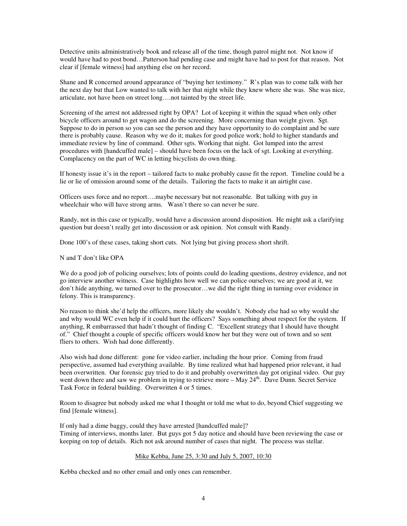Detective units administratively book and release all of the time, though patrol might not. Not know if would have had to post bond…Patterson had pending case and might have had to post for that reason. Not clear if [female witness] had anything else on her record.

Shane and R concerned around appearance of "buying her testimony." R's plan was to come talk with her the next day but that Low wanted to talk with her that night while they knew where she was. She was nice, articulate, not have been on street long….not tainted by the street life.

Screening of the arrest not addressed right by OPA? Lot of keeping it within the squad when only other bicycle officers around to get wagon and do the screening. More concerning than weight given. Sgt. Suppose to do in person so you can see the person and they have opportunity to do complaint and be sure there is probably cause. Reason why we do it; makes for good police work; hold to higher standards and immediate review by line of command. Other sgts. Working that night. Got lumped into the arrest procedures with [handcuffed male] – should have been focus on the lack of sgt. Looking at everything. Complacency on the part of WC in letting bicyclists do own thing.

If honesty issue it's in the report – tailored facts to make probably cause fit the report. Timeline could be a lie or lie of omission around some of the details. Tailoring the facts to make it an airtight case.

Officers uses force and no report….maybe necessary but not reasonable. But talking with guy in wheelchair who will have strong arms. Wasn't there so can never be sure.

Randy, not in this case or typically, would have a discussion around disposition. He might ask a clarifying question but doesn't really get into discussion or ask opinion. Not consult with Randy.

Done 100's of these cases, taking short cuts. Not lying but giving process short shrift.

N and T don't like OPA

We do a good job of policing ourselves; lots of points could do leading questions, destroy evidence, and not go interview another witness. Case highlights how well we can police ourselves; we are good at it, we don't hide anything, we turned over to the prosecutor…we did the right thing in turning over evidence in felony. This is transparency.

No reason to think she'd help the officers, more likely she wouldn't. Nobody else had so why would she and why would WC even help if it could hurt the officers? Says something about respect for the system. If anything, R embarrassed that hadn't thought of finding C. "Excellent strategy that I should have thought of." Chief thought a couple of specific officers would know her but they were out of town and so sent fliers to others. Wish had done differently.

Also wish had done different: gone for video earlier, including the hour prior. Coming from fraud perspective, assumed had everything available. By time realized what had happened prior relevant, it had been overwritten. Our forensic guy tried to do it and probably overwritten day got original video. Our guy went down there and saw we problem in trying to retrieve more – May 24<sup>th</sup>. Dave Dunn. Secret Service Task Force in federal building. Overwritten 4 or 5 times.

Room to disagree but nobody asked me what I thought or told me what to do, beyond Chief suggesting we find [female witness].

If only had a dime baggy, could they have arrested [handcuffed male]? Timing of interviews, months later. But guys got 5 day notice and should have been reviewing the case or keeping on top of details. Rich not ask around number of cases that night. The process was stellar.

# Mike Kebba, June 25, 3:30 and July 5, 2007, 10:30

Kebba checked and no other email and only ones can remember.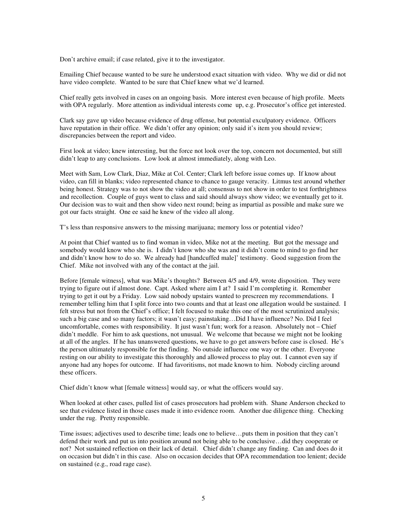Don't archive email; if case related, give it to the investigator.

Emailing Chief because wanted to be sure he understood exact situation with video. Why we did or did not have video complete. Wanted to be sure that Chief knew what we'd learned.

Chief really gets involved in cases on an ongoing basis. More interest even because of high profile. Meets with OPA regularly. More attention as individual interests come up, e.g. Prosecutor's office get interested.

Clark say gave up video because evidence of drug offense, but potential exculpatory evidence. Officers have reputation in their office. We didn't offer any opinion; only said it's item you should review; discrepancies between the report and video.

First look at video; knew interesting, but the force not look over the top, concern not documented, but still didn't leap to any conclusions. Low look at almost immediately, along with Leo.

Meet with Sam, Low Clark, Diaz, Mike at Col. Center; Clark left before issue comes up. If know about video, can fill in blanks; video represented chance to chance to gauge veracity. Litmus test around whether being honest. Strategy was to not show the video at all; consensus to not show in order to test forthrightness and recollection. Couple of guys went to class and said should always show video; we eventually get to it. Our decision was to wait and then show video next round; being as impartial as possible and make sure we got our facts straight. One ee said he knew of the video all along.

T's less than responsive answers to the missing marijuana; memory loss or potential video?

At point that Chief wanted us to find woman in video, Mike not at the meeting. But got the message and somebody would know who she is. I didn't know who she was and it didn't come to mind to go find her and didn't know how to do so. We already had [handcuffed male]' testimony. Good suggestion from the Chief. Mike not involved with any of the contact at the jail.

Before [female witness], what was Mike's thoughts? Between 4/5 and 4/9, wrote disposition. They were trying to figure out if almost done. Capt. Asked where aim I at? I said I'm completing it. Remember trying to get it out by a Friday. Low said nobody upstairs wanted to prescreen my recommendations. I remember telling him that I split force into two counts and that at least one allegation would be sustained. I felt stress but not from the Chief's office; I felt focused to make this one of the most scrutinized analysis; such a big case and so many factors; it wasn't easy; painstaking…Did I have influence? No. Did I feel uncomfortable, comes with responsibility. It just wasn't fun; work for a reason. Absolutely not – Chief didn't meddle. For him to ask questions, not unusual. We welcome that because we might not be looking at all of the angles. If he has unanswered questions, we have to go get answers before case is closed. He's the person ultimately responsible for the finding. No outside influence one way or the other. Everyone resting on our ability to investigate this thoroughly and allowed process to play out. I cannot even say if anyone had any hopes for outcome. If had favoritisms, not made known to him. Nobody circling around these officers.

Chief didn't know what [female witness] would say, or what the officers would say.

When looked at other cases, pulled list of cases prosecutors had problem with. Shane Anderson checked to see that evidence listed in those cases made it into evidence room. Another due diligence thing. Checking under the rug. Pretty responsible.

Time issues; adjectives used to describe time; leads one to believe…puts them in position that they can't defend their work and put us into position around not being able to be conclusive…did they cooperate or not? Not sustained reflection on their lack of detail. Chief didn't change any finding. Can and does do it on occasion but didn't in this case. Also on occasion decides that OPA recommendation too lenient; decide on sustained (e.g., road rage case).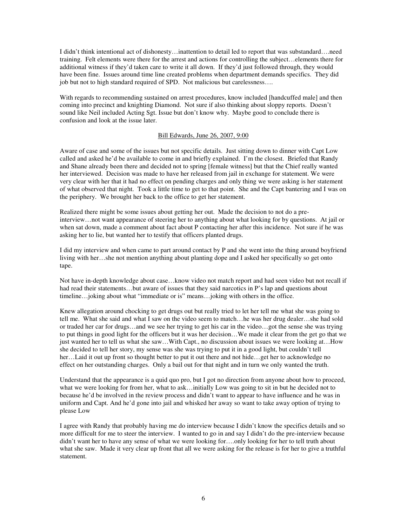I didn't think intentional act of dishonesty…inattention to detail led to report that was substandard….need training. Felt elements were there for the arrest and actions for controlling the subject…elements there for additional witness if they'd taken care to write it all down. If they'd just followed through, they would have been fine. Issues around time line created problems when department demands specifics. They did job but not to high standard required of SPD. Not malicious but carelessness….

With regards to recommending sustained on arrest procedures, know included [handcuffed male] and then coming into precinct and knighting Diamond. Not sure if also thinking about sloppy reports. Doesn't sound like Neil included Acting Sgt. Issue but don't know why. Maybe good to conclude there is confusion and look at the issue later.

#### Bill Edwards, June 26, 2007, 9:00

Aware of case and some of the issues but not specific details. Just sitting down to dinner with Capt Low called and asked he'd be available to come in and briefly explained. I'm the closest. Briefed that Randy and Shane already been there and decided not to spring [female witness] but that the Chief really wanted her interviewed. Decision was made to have her released from jail in exchange for statement. We were very clear with her that it had no effect on pending charges and only thing we were asking is her statement of what observed that night. Took a little time to get to that point. She and the Capt bantering and I was on the periphery. We brought her back to the office to get her statement.

Realized there might be some issues about getting her out. Made the decision to not do a preinterview…not want appearance of steering her to anything about what looking for by questions. At jail or when sat down, made a comment about fact about P contacting her after this incidence. Not sure if he was asking her to lie, but wanted her to testify that officers planted drugs.

I did my interview and when came to part around contact by P and she went into the thing around boyfriend living with her…she not mention anything about planting dope and I asked her specifically so get onto tape.

Not have in-depth knowledge about case…know video not match report and had seen video but not recall if had read their statements…but aware of issues that they said narcotics in P's lap and questions about timeline…joking about what "immediate or is" means…joking with others in the office.

Knew allegation around chocking to get drugs out but really tried to let her tell me what she was going to tell me. What she said and what I saw on the video seem to match…he was her drug dealer…she had sold or traded her car for drugs…and we see her trying to get his car in the video…got the sense she was trying to put things in good light for the officers but it was her decision…We made it clear from the get go that we just wanted her to tell us what she saw…With Capt., no discussion about issues we were looking at…How she decided to tell her story, my sense was she was trying to put it in a good light, but couldn't tell her…Laid it out up front so thought better to put it out there and not hide…get her to acknowledge no effect on her outstanding charges. Only a bail out for that night and in turn we only wanted the truth.

Understand that the appearance is a quid quo pro, but I got no direction from anyone about how to proceed, what we were looking for from her, what to ask...initially Low was going to sit in but he decided not to because he'd be involved in the review process and didn't want to appear to have influence and he was in uniform and Capt. And he'd gone into jail and whisked her away so want to take away option of trying to please Low

I agree with Randy that probably having me do interview because I didn't know the specifics details and so more difficult for me to steer the interview. I wanted to go in and say I didn't do the pre-interview because didn't want her to have any sense of what we were looking for….only looking for her to tell truth about what she saw. Made it very clear up front that all we were asking for the release is for her to give a truthful statement.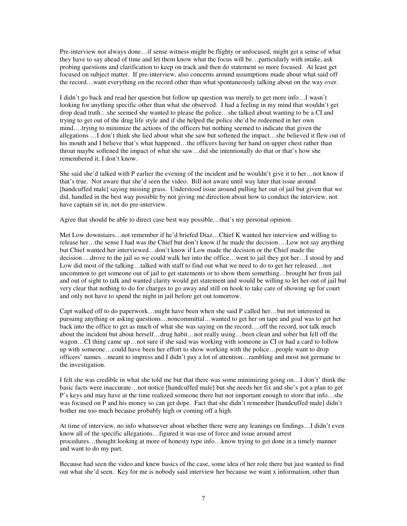Pre-interview not always done…if sense witness might be flighty or unfocused, might get a sense of what they have to say ahead of time and let them know what the focus will be…particularly with intake, ask probing questions and clarification to keep on track and then do statement so more focused. At least get focused on subject matter. If pre-interview, also concerns around assumptions made about what said off the record…want everything on the record other than what spontaneously talking about on the way over.

I didn't go back and read her question but follow up question was merely to get more info…I wasn't looking for anything specific other than what she observed. I had a feeling in my mind that wouldn't get drop dead truth…she seemed she wanted to please the police…she talked about wanting to be a CI and trying to get out of the drug life style and if she helped the police she'd be redeemed in her own mind….trying to minimize the actions of the officers but nothing seemed to indicate that given the allegations …I don't think she lied about what she saw but softened the impact…she believed it flew out of his mouth and I believe that's what happened...the officers having her hand on upper chest rather than throat maybe softened the impact of what she saw…did she intentionally do that or that's how she remembered it, I don't know.

She said she'd talked with P earlier the evening of the incident and he wouldn't give it to her…not know if that's true. Not aware that she'd seen the video. Bill not aware until way later that issue around [handcuffed male] saying missing grass. Understood issue around pulling her out of jail but given that we did, handled in the best way possible by not giving me direction about how to conduct the interview, not have captain sit in, not do pre-interview.

Agree that should be able to direct case best way possible…that's my personal opinion.

Met Low downstairs…not remember if he'd briefed Diaz…Chief K wanted her interview and willing to release her…the sense I had was the Chief but don't know if he made the decision….Low not say anything but Chief wanted her interviewed…don't know if Low made the decision or the Chief made the decision….drove to the jail so we could walk her into the office…went to jail they got her…I stood by and Low did most of the talking...talked with staff to find out what we need to do to get her released...not uncommon to get someone out of jail to get statements or to show them something…brought her from jail and out of sight to talk and wanted clarity would get statement and would be willing to let her out of jail but very clear that nothing to do for charges to go away and still on hook to take care of showing up for court and only not have to spend the night in jail before get out tomorrow.

Capt walked off to do paperwork…might have been when she said P called her…but not interested in pursuing anything or asking questions…noncommittal…wanted to get her on tape and goal was to get her back into the office to get as much of what she was saying on the record….off the record, not talk much about the incident but about herself…drug habit…not really using…been clean and sober but fell off the wagon...CI thing came up...not sure if she said was working with someone as CI or had a card to follow up with someone…could have been her effort to show working with the police…people want to drop officers' names…meant to impress and I didn't pay a lot of attention…rambling and most not germane to the investigation.

I felt she was credible in what she told me but that there was some minimizing going on…I don't' think the basic facts were inaccurate…not notice [handcuffed male] but she needs her fix and she's got a plan to get P's keys and may have at the time realized someone there but not important enough to store that info…she was focused on P and his money so can get dope. Fact that she didn't remember [handcuffed male] didn't bother me too much because probably high or coming off a high.

At time of interview, no info whatsoever about whether there were any leanings on findings…I didn't even know all of the specific allegations…figured it was use of force and issue around arrest procedures…thought looking at more of honesty type info…know trying to get done in a timely manner and want to do my part.

Because had seen the video and knew basics of the case, some idea of her role there but just wanted to find out what she'd seen. Key for me is nobody said interview her because we want x information, other than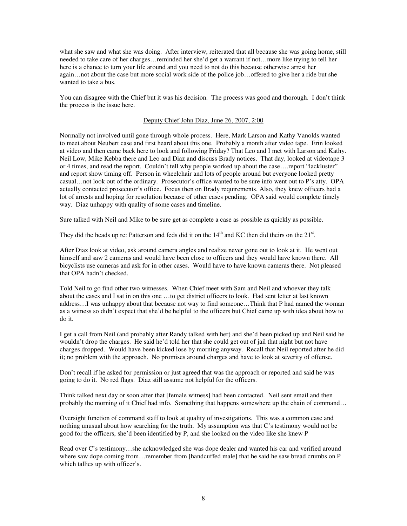what she saw and what she was doing. After interview, reiterated that all because she was going home, still needed to take care of her charges…reminded her she'd get a warrant if not…more like trying to tell her here is a chance to turn your life around and you need to not do this because otherwise arrest her again…not about the case but more social work side of the police job…offered to give her a ride but she wanted to take a bus.

You can disagree with the Chief but it was his decision. The process was good and thorough. I don't think the process is the issue here.

# Deputy Chief John Diaz, June 26, 2007, 2:00

Normally not involved until gone through whole process. Here, Mark Larson and Kathy Vanolds wanted to meet about Neubert case and first heard about this one. Probably a month after video tape. Erin looked at video and then came back here to look and following Friday? That Leo and I met with Larson and Kathy. Neil Low, Mike Kebba there and Leo and Diaz and discuss Brady notices. That day, looked at videotape 3 or 4 times, and read the report. Couldn't tell why people worked up about the case….report "lackluster" and report show timing off. Person in wheelchair and lots of people around but everyone looked pretty casual…not look out of the ordinary. Prosecutor's office wanted to be sure info went out to P's atty. OPA actually contacted prosecutor's office. Focus then on Brady requirements. Also, they knew officers had a lot of arrests and hoping for resolution because of other cases pending. OPA said would complete timely way. Diaz unhappy with quality of some cases and timeline.

Sure talked with Neil and Mike to be sure get as complete a case as possible as quickly as possible.

They did the heads up re: Patterson and feds did it on the  $14<sup>th</sup>$  and KC then did theirs on the  $21<sup>st</sup>$ .

After Diaz look at video, ask around camera angles and realize never gone out to look at it. He went out himself and saw 2 cameras and would have been close to officers and they would have known there. All bicyclists use cameras and ask for in other cases. Would have to have known cameras there. Not pleased that OPA hadn't checked.

Told Neil to go find other two witnesses. When Chief meet with Sam and Neil and whoever they talk about the cases and I sat in on this one …to get district officers to look. Had sent letter at last known address…I was unhappy about that because not way to find someone…Think that P had named the woman as a witness so didn't expect that she'd be helpful to the officers but Chief came up with idea about how to do it.

I get a call from Neil (and probably after Randy talked with her) and she'd been picked up and Neil said he wouldn't drop the charges. He said he'd told her that she could get out of jail that night but not have charges dropped. Would have been kicked lose by morning anyway. Recall that Neil reported after he did it; no problem with the approach. No promises around charges and have to look at severity of offense.

Don't recall if he asked for permission or just agreed that was the approach or reported and said he was going to do it. No red flags. Diaz still assume not helpful for the officers.

Think talked next day or soon after that [female witness] had been contacted. Neil sent email and then probably the morning of it Chief had info. Something that happens somewhere up the chain of command…

Oversight function of command staff to look at quality of investigations. This was a common case and nothing unusual about how searching for the truth. My assumption was that C's testimony would not be good for the officers, she'd been identified by P, and she looked on the video like she knew P

Read over C's testimony…she acknowledged she was dope dealer and wanted his car and verified around where saw dope coming from...remember from [handcuffed male] that he said he saw bread crumbs on P which tallies up with officer's.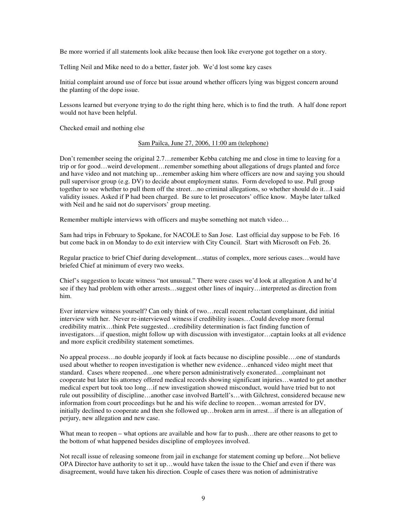Be more worried if all statements look alike because then look like everyone got together on a story.

Telling Neil and Mike need to do a better, faster job. We'd lost some key cases

Initial complaint around use of force but issue around whether officers lying was biggest concern around the planting of the dope issue.

Lessons learned but everyone trying to do the right thing here, which is to find the truth. A half done report would not have been helpful.

Checked email and nothing else

#### Sam Pailca, June 27, 2006, 11:00 am (telephone)

Don't remember seeing the original 2.7…remember Kebba catching me and close in time to leaving for a trip or for good…weird development…remember something about allegations of drugs planted and force and have video and not matching up…remember asking him where officers are now and saying you should pull supervisor group (e.g. DV) to decide about employment status. Form developed to use. Pull group together to see whether to pull them off the street…no criminal allegations, so whether should do it…I said validity issues. Asked if P had been charged. Be sure to let prosecutors' office know. Maybe later talked with Neil and he said not do supervisors' group meeting.

Remember multiple interviews with officers and maybe something not match video…

Sam had trips in February to Spokane, for NACOLE to San Jose. Last official day suppose to be Feb. 16 but come back in on Monday to do exit interview with City Council. Start with Microsoft on Feb. 26.

Regular practice to brief Chief during development…status of complex, more serious cases…would have briefed Chief at minimum of every two weeks.

Chief's suggestion to locate witness "not unusual." There were cases we'd look at allegation A and he'd see if they had problem with other arrests…suggest other lines of inquiry…interpreted as direction from him.

Ever interview witness yourself? Can only think of two…recall recent reluctant complainant, did initial interview with her. Never re-interviewed witness if credibility issues…Could develop more formal credibility matrix…think Pete suggested…credibility determination is fact finding function of investigators…if question, might follow up with discussion with investigator…captain looks at all evidence and more explicit credibility statement sometimes.

No appeal process…no double jeopardy if look at facts because no discipline possible….one of standards used about whether to reopen investigation is whether new evidence…enhanced video might meet that standard. Cases where reopened…one where person administratively exonerated…complainant not cooperate but later his attorney offered medical records showing significant injuries…wanted to get another medical expert but took too long…if new investigation showed misconduct, would have tried but to not rule out possibility of discipline…another case involved Bartell's…with Gilchrest, considered because new information from court proceedings but he and his wife decline to reopen…woman arrested for DV, initially declined to cooperate and then she followed up…broken arm in arrest…if there is an allegation of perjury, new allegation and new case.

What mean to reopen – what options are available and how far to push...there are other reasons to get to the bottom of what happened besides discipline of employees involved.

Not recall issue of releasing someone from jail in exchange for statement coming up before…Not believe OPA Director have authority to set it up…would have taken the issue to the Chief and even if there was disagreement, would have taken his direction. Couple of cases there was notion of administrative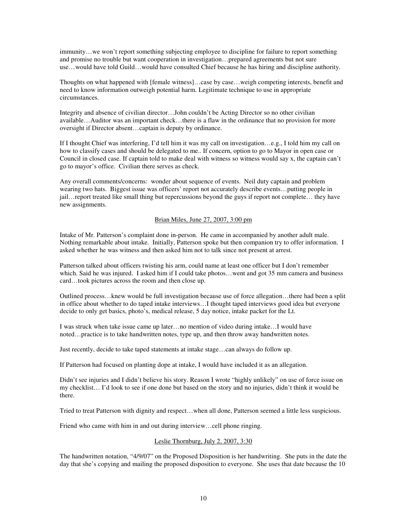immunity…we won't report something subjecting employee to discipline for failure to report something and promise no trouble but want cooperation in investigation…prepared agreements but not sure use…would have told Guild…would have consulted Chief because he has hiring and discipline authority.

Thoughts on what happened with [female witness]…case by case…weigh competing interests, benefit and need to know information outweigh potential harm. Legitimate technique to use in appropriate circumstances.

Integrity and absence of civilian director…John couldn't be Acting Director so no other civilian available…Auditor was an important check…there is a flaw in the ordinance that no provision for more oversight if Director absent…captain is deputy by ordinance.

If I thought Chief was interfering, I'd tell him it was my call on investigation…e.g., I told him my call on how to classify cases and should be delegated to me.. If concern, option to go to Mayor in open case or Council in closed case. If captain told to make deal with witness so witness would say x, the captain can't go to mayor's office. Civilian there serves as check.

Any overall comments/concerns: wonder about sequence of events. Neil duty captain and problem wearing two hats. Biggest issue was officers' report not accurately describe events…putting people in jail…report treated like small thing but repercussions beyond the guys if report not complete… they have new assignments.

# Brian Miles, June 27, 2007, 3:00 pm

Intake of Mr. Patterson's complaint done in-person. He came in accompanied by another adult male. Nothing remarkable about intake. Initially, Patterson spoke but then companion try to offer information. I asked whether he was witness and then asked him not to talk since not present at arrest.

Patterson talked about officers twisting his arm, could name at least one officer but I don't remember which. Said he was injured. I asked him if I could take photos…went and got 35 mm camera and business card…took pictures across the room and then close up.

Outlined process…knew would be full investigation because use of force allegation…there had been a split in office about whether to do taped intake interviews…I thought taped interviews good idea but everyone decide to only get basics, photo's, medical release, 5 day notice, intake packet for the Lt.

I was struck when take issue came up later…no mention of video during intake…I would have noted…practice is to take handwritten notes, type up, and then throw away handwritten notes.

Just recently, decide to take taped statements at intake stage…can always do follow up.

If Patterson had focused on planting dope at intake, I would have included it as an allegation.

Didn't see injuries and I didn't believe his story. Reason I wrote "highly unlikely" on use of force issue on my checklist… I'd look to see if one done but based on the story and no injuries, didn't think it would be there.

Tried to treat Patterson with dignity and respect…when all done, Patterson seemed a little less suspicious.

Friend who came with him in and out during interview...cell phone ringing.

# Leslie Thornburg, July 2, 2007, 3:30

The handwritten notation, "4/9/07" on the Proposed Disposition is her handwriting. She puts in the date the day that she's copying and mailing the proposed disposition to everyone. She uses that date because the 10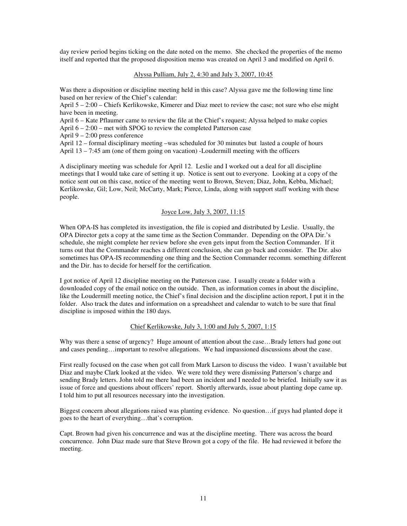day review period begins ticking on the date noted on the memo. She checked the properties of the memo itself and reported that the proposed disposition memo was created on April 3 and modified on April 6.

### Alyssa Pulliam, July 2, 4:30 and July 3, 2007, 10:45

Was there a disposition or discipline meeting held in this case? Alyssa gave me the following time line based on her review of the Chief's calendar:

April 5 – 2:00 – Chiefs Kerlikowske, Kimerer and Diaz meet to review the case; not sure who else might have been in meeting.

April 6 – Kate Pflaumer came to review the file at the Chief's request; Alyssa helped to make copies

April 6 – 2:00 – met with SPOG to review the completed Patterson case

April 9 – 2:00 press conference

April 12 – formal disciplinary meeting –was scheduled for 30 minutes but lasted a couple of hours April 13 – 7:45 am (one of them going on vacation) -Loudermill meeting with the officers

A disciplinary meeting was schedule for April 12. Leslie and I worked out a deal for all discipline meetings that I would take care of setting it up. Notice is sent out to everyone. Looking at a copy of the notice sent out on this case, notice of the meeting went to Brown, Steven; Diaz, John, Kebba, Michael; Kerlikowske, Gil; Low, Neil; McCarty, Mark; Pierce, Linda, along with support staff working with these people.

# Joyce Low, July 3, 2007, 11:15

When OPA-IS has completed its investigation, the file is copied and distributed by Leslie. Usually, the OPA Director gets a copy at the same time as the Section Commander. Depending on the OPA Dir.'s schedule, she might complete her review before she even gets input from the Section Commander. If it turns out that the Commander reaches a different conclusion, she can go back and consider. The Dir. also sometimes has OPA-IS recommending one thing and the Section Commander recomm. something different and the Dir. has to decide for herself for the certification.

I got notice of April 12 discipline meeting on the Patterson case. I usually create a folder with a downloaded copy of the email notice on the outside. Then, as information comes in about the discipline, like the Loudermill meeting notice, the Chief's final decision and the discipline action report, I put it in the folder. Also track the dates and information on a spreadsheet and calendar to watch to be sure that final discipline is imposed within the 180 days.

# Chief Kerlikowske, July 3, 1:00 and July 5, 2007, 1:15

Why was there a sense of urgency? Huge amount of attention about the case...Brady letters had gone out and cases pending…important to resolve allegations. We had impassioned discussions about the case.

First really focused on the case when got call from Mark Larson to discuss the video. I wasn't available but Diaz and maybe Clark looked at the video. We were told they were dismissing Patterson's charge and sending Brady letters. John told me there had been an incident and I needed to be briefed. Initially saw it as issue of force and questions about officers' report. Shortly afterwards, issue about planting dope came up. I told him to put all resources necessary into the investigation.

Biggest concern about allegations raised was planting evidence. No question…if guys had planted dope it goes to the heart of everything…that's corruption.

Capt. Brown had given his concurrence and was at the discipline meeting. There was across the board concurrence. John Diaz made sure that Steve Brown got a copy of the file. He had reviewed it before the meeting.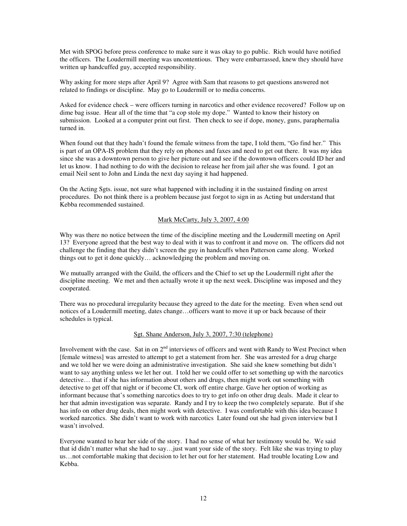Met with SPOG before press conference to make sure it was okay to go public. Rich would have notified the officers. The Loudermill meeting was uncontentious. They were embarrassed, knew they should have written up handcuffed guy, accepted responsibility.

Why asking for more steps after April 9? Agree with Sam that reasons to get questions answered not related to findings or discipline. May go to Loudermill or to media concerns.

Asked for evidence check – were officers turning in narcotics and other evidence recovered? Follow up on dime bag issue. Hear all of the time that "a cop stole my dope." Wanted to know their history on submission. Looked at a computer print out first. Then check to see if dope, money, guns, paraphernalia turned in.

When found out that they hadn't found the female witness from the tape, I told them, "Go find her." This is part of an OPA-IS problem that they rely on phones and faxes and need to get out there. It was my idea since she was a downtown person to give her picture out and see if the downtown officers could ID her and let us know. I had nothing to do with the decision to release her from jail after she was found. I got an email Neil sent to John and Linda the next day saying it had happened.

On the Acting Sgts. issue, not sure what happened with including it in the sustained finding on arrest procedures. Do not think there is a problem because just forgot to sign in as Acting but understand that Kebba recommended sustained.

# Mark McCarty, July 3, 2007, 4:00

Why was there no notice between the time of the discipline meeting and the Loudermill meeting on April 13? Everyone agreed that the best way to deal with it was to confront it and move on. The officers did not challenge the finding that they didn't screen the guy in handcuffs when Patterson came along. Worked things out to get it done quickly… acknowledging the problem and moving on.

We mutually arranged with the Guild, the officers and the Chief to set up the Loudermill right after the discipline meeting. We met and then actually wrote it up the next week. Discipline was imposed and they cooperated.

There was no procedural irregularity because they agreed to the date for the meeting. Even when send out notices of a Loudermill meeting, dates change…officers want to move it up or back because of their schedules is typical.

# Sgt. Shane Anderson, July 3, 2007, 7:30 (telephone)

Involvement with the case. Sat in on  $2<sup>nd</sup>$  interviews of officers and went with Randy to West Precinct when [female witness] was arrested to attempt to get a statement from her. She was arrested for a drug charge and we told her we were doing an administrative investigation. She said she knew something but didn't want to say anything unless we let her out. I told her we could offer to set something up with the narcotics detective… that if she has information about others and drugs, then might work out something with detective to get off that night or if become CI, work off entire charge. Gave her option of working as informant because that's something narcotics does to try to get info on other drug deals. Made it clear to her that admin investigation was separate. Randy and I try to keep the two completely separate. But if she has info on other drug deals, then might work with detective. I was comfortable with this idea because I worked narcotics. She didn't want to work with narcotics Later found out she had given interview but I wasn't involved.

Everyone wanted to hear her side of the story. I had no sense of what her testimony would be. We said that id didn't matter what she had to say…just want your side of the story. Felt like she was trying to play us…not comfortable making that decision to let her out for her statement. Had trouble locating Low and Kebba.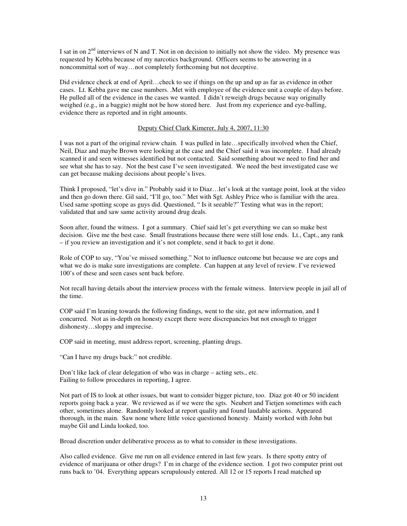I sat in on  $2<sup>nd</sup>$  interviews of N and T. Not in on decision to initially not show the video. My presence was requested by Kebba because of my narcotics background. Officers seems to be answering in a noncommittal sort of way…not completely forthcoming but not deceptive.

Did evidence check at end of April…check to see if things on the up and up as far as evidence in other cases. Lt. Kebba gave me case numbers. .Met with employee of the evidence unit a couple of days before. He pulled all of the evidence in the cases we wanted. I didn't reweigh drugs because way originally weighed (e.g., in a baggie) might not be how stored here. Just from my experience and eye-balling, evidence there as reported and in right amounts.

# Deputy Chief Clark Kimerer, July 4, 2007, 11:30

I was not a part of the original review chain. I was pulled in late…specifically involved when the Chief, Neil, Diaz and maybe Brown were looking at the case and the Chief said it was incomplete. I had already scanned it and seen witnesses identified but not contacted. Said something about we need to find her and see what she has to say. Not the best case I've seen investigated. We need the best investigated case we can get because making decisions about people's lives.

Think I proposed, "let's dive in." Probably said it to Diaz…let's look at the vantage point, look at the video and then go down there. Gil said, "I'll go, too." Met with Sgt. Ashley Price who is familiar with the area. Used same spotting scope as guys did. Questioned, " Is it seeable?" Testing what was in the report; validated that and saw same activity around drug deals.

Soon after, found the witness. I got a summary. Chief said let's get everything we can so make best decision. Give me the best case. Small frustrations because there were still lose ends. Lt., Capt., any rank – if you review an investigation and it's not complete, send it back to get it done.

Role of COP to say, "You've missed something." Not to influence outcome but because we are cops and what we do is make sure investigations are complete. Can happen at any level of review. I've reviewed 100's of these and seen cases sent back before.

Not recall having details about the interview process with the female witness. Interview people in jail all of the time.

COP said I'm leaning towards the following findings, went to the site, got new information, and I concurred. Not as in-depth on honesty except there were discrepancies but not enough to trigger dishonesty…sloppy and imprecise.

COP said in meeting, must address report, screening, planting drugs.

"Can I have my drugs back:" not credible.

Don't like lack of clear delegation of who was in charge – acting sets., etc. Failing to follow procedures in reporting, I agree.

Not part of IS to look at other issues, but want to consider bigger picture, too. Diaz got 40 or 50 incident reports going back a year. We reviewed as if we were the sgts. Neubert and Tietjen sometimes with each other, sometimes alone. Randomly looked at report quality and found laudable actions. Appeared thorough, in the main. Saw none where little voice questioned honesty. Mainly worked with John but maybe Gil and Linda looked, too.

Broad discretion under deliberative process as to what to consider in these investigations.

Also called evidence. Give me run on all evidence entered in last few years. Is there spotty entry of evidence of marijuana or other drugs? I'm in charge of the evidence section. I got two computer print out runs back to '04. Everything appears scrupulously entered. All 12 or 15 reports I read matched up